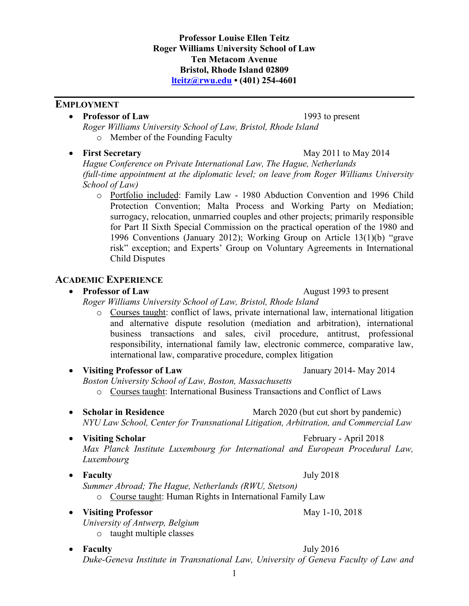## **Professor Louise Ellen Teitz Roger Williams University School of Law Ten Metacom Avenue Bristol, Rhode Island 02809 [lteitz@rwu.edu](mailto:lteitz@rwu.edu) • (401) 254-4601**

# **EMPLOYMENT**

# • **Professor of Law** 1993 to present

*Roger Williams University School of Law, Bristol, Rhode Island* o Member of the Founding Faculty

# • **First Secretary** May 2011 to May 2014

*Hague Conference on Private International Law, The Hague, Netherlands (full-time appointment at the diplomatic level; on leave from Roger Williams University School of Law)*

o Portfolio included: Family Law - 1980 Abduction Convention and 1996 Child Protection Convention; Malta Process and Working Party on Mediation; surrogacy, relocation, unmarried couples and other projects; primarily responsible for Part II Sixth Special Commission on the practical operation of the 1980 and 1996 Conventions (January 2012); Working Group on Article 13(1)(b) "grave risk" exception; and Experts' Group on Voluntary Agreements in International Child Disputes

# **ACADEMIC EXPERIENCE**

# • **Professor of Law** August 1993 to present

*Roger Williams University School of Law, Bristol, Rhode Island*

- o Courses taught: conflict of laws, private international law, international litigation and alternative dispute resolution (mediation and arbitration), international business transactions and sales, civil procedure, antitrust, professional responsibility, international family law, electronic commerce, comparative law, international law, comparative procedure, complex litigation
- **Visiting Professor of Law** January 2014- May 2014

*Boston University School of Law, Boston, Massachusetts*

- o Courses taught: International Business Transactions and Conflict of Laws
- **Scholar in Residence** March 2020 (but cut short by pandemic) *NYU Law School, Center for Transnational Litigation, Arbitration, and Commercial Law*
- **Visiting Scholar** February April 2018 *Max Planck Institute Luxembourg for International and European Procedural Law, Luxembourg*
- **Faculty** July 2018
	- *Summer Abroad; The Hague, Netherlands (RWU, Stetson)*

o Course taught: Human Rights in International Family Law

- **Visiting Professor** May 1-10, 2018 *University of Antwerp, Belgium*
	- o taught multiple classes

#### • **Faculty** July 2016 *Duke-Geneva Institute in Transnational Law, University of Geneva Faculty of Law and*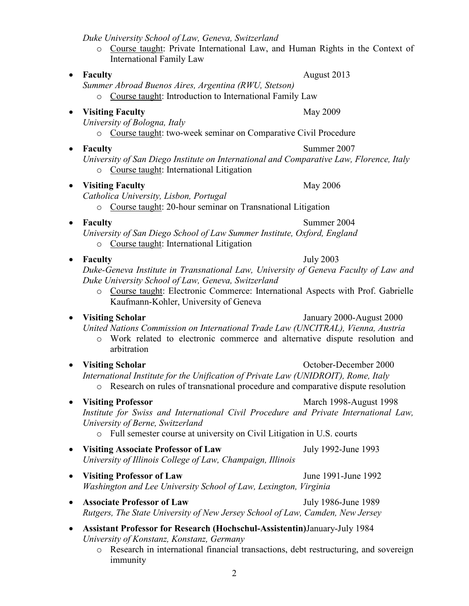*Duke University School of Law, Geneva, Switzerland*

- o Course taught: Private International Law, and Human Rights in the Context of International Family Law
- **Faculty** August 2013

*Summer Abroad Buenos Aires, Argentina (RWU, Stetson)*

o Course taught: Introduction to International Family Law

• **Visiting Faculty** May 2009

*University of Bologna, Italy*

- o Course taught: two-week seminar on Comparative Civil Procedure
- - *University of San Diego Institute on International and Comparative Law, Florence, Italy* o Course taught: International Litigation
- **Visiting Faculty** May 2006
	- *Catholica University, Lisbon, Portugal*

o Course taught: 20-hour seminar on Transnational Litigation

*University of San Diego School of Law Summer Institute, Oxford, England*

- o Course taught: International Litigation
- **Faculty** July 2003

*Duke-Geneva Institute in Transnational Law, University of Geneva Faculty of Law and Duke University School of Law, Geneva, Switzerland*

o Course taught: Electronic Commerce: International Aspects with Prof. Gabrielle Kaufmann-Kohler, University of Geneva

# • **Visiting Scholar** January 2000-August 2000

*United Nations Commission on International Trade Law (UNCITRAL), Vienna, Austria*

- o Work related to electronic commerce and alternative dispute resolution and arbitration
- **Visiting Scholar b Constanting Scholar October-December 2000** *International Institute for the Unification of Private Law (UNIDROIT), Rome, Italy* o Research on rules of transnational procedure and comparative dispute resolution
- 

• **Visiting Professor** March 1998-August 1998 *Institute for Swiss and International Civil Procedure and Private International Law, University of Berne, Switzerland*

- o Full semester course at university on Civil Litigation in U.S. courts
- **Visiting Associate Professor of Law** July 1992-June 1993 *University of Illinois College of Law, Champaign, Illinois*
- Visiting Professor of Law June 1991-June 1992 *Washington and Lee University School of Law, Lexington, Virginia*
- **Associate Professor of Law** July 1986-June 1989 *Rutgers, The State University of New Jersey School of Law, Camden, New Jersey*
- **Assistant Professor for Research (Hochschul-Assistentin)**January-July 1984 *University of Konstanz, Konstanz, Germany*
	- o Research in international financial transactions, debt restructuring, and sovereign immunity

• **Faculty** Summer 2004

• **Faculty** Summer 2007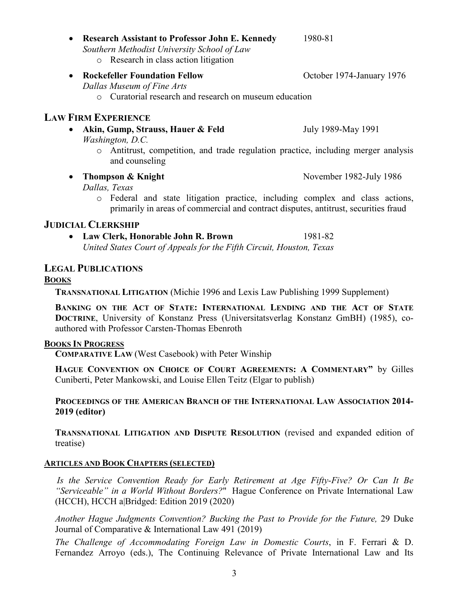• **Research Assistant to Professor John E. Kennedy** 1980-81 *Southern Methodist University School of Law*

o Research in class action litigation

• **Rockefeller Foundation Fellow October 1974-January 1976** *Dallas Museum of Fine Arts* o Curatorial research and research on museum education

# **LAW FIRM EXPERIENCE**

- **Akin, Gump, Strauss, Hauer & Feld** July 1989-May 1991 *Washington, D.C.*
	- o Antitrust, competition, and trade regulation practice, including merger analysis and counseling

• **Thompson & Knight** November 1982-July 1986

- *Dallas, Texas* o Federal and state litigation practice, including complex and class actions,
	- primarily in areas of commercial and contract disputes, antitrust, securities fraud

# **JUDICIAL CLERKSHIP**

• Law Clerk, Honorable John R. Brown 1981-82 *United States Court of Appeals for the Fifth Circuit, Houston, Texas*

# **LEGAL PUBLICATIONS**

## **BOOKS**

**TRANSNATIONAL LITIGATION** (Michie 1996 and Lexis Law Publishing 1999 Supplement)

**BANKING ON THE ACT OF STATE: INTERNATIONAL LENDING AND THE ACT OF STATE DOCTRINE**, University of Konstanz Press (Universitatsverlag Konstanz GmBH) (1985), coauthored with Professor Carsten-Thomas Ebenroth

### **BOOKS IN PROGRESS**

**COMPARATIVE LAW** (West Casebook) with Peter Winship

**HAGUE CONVENTION ON CHOICE OF COURT AGREEMENTS: A COMMENTARY"** by Gilles Cuniberti, Peter Mankowski, and Louise Ellen Teitz (Elgar to publish)

**PROCEEDINGS OF THE AMERICAN BRANCH OF THE INTERNATIONAL LAW ASSOCIATION 2014- 2019 (editor)**

**TRANSNATIONAL LITIGATION AND DISPUTE RESOLUTION** (revised and expanded edition of treatise)

## **ARTICLES AND BOOK CHAPTERS (SELECTED)**

*Is the Service Convention Ready for Early Retirement at Age Fifty-Five? Or Can It Be "Serviceable" in a World Without Borders?*" Hague Conference on Private International Law (HCCH), HCCH a|Bridged: Edition 2019 (2020)

*Another Hague Judgments Convention? Bucking the Past to Provide for the Future,* 29 Duke Journal of Comparative & International Law 491 (2019)

*The Challenge of Accommodating Foreign Law in Domestic Courts*, in F. Ferrari & D. Fernandez Arroyo (eds.), The Continuing Relevance of Private International Law and Its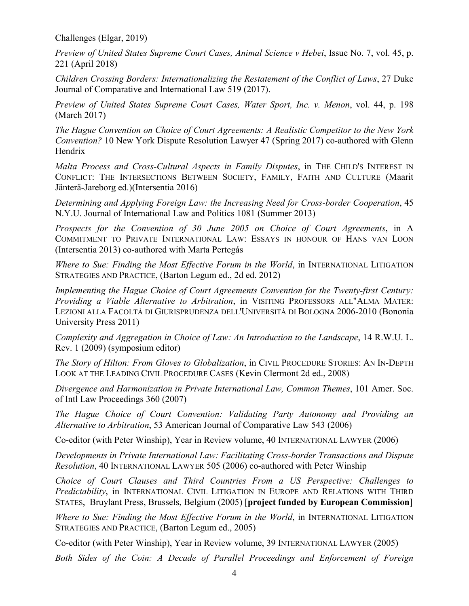Challenges (Elgar, 2019)

*Preview of United States Supreme Court Cases, Animal Science v Hebei*, Issue No. 7, vol. 45, p. 221 (April 2018)

*Children Crossing Borders: Internationalizing the Restatement of the Conflict of Laws*, 27 Duke Journal of Comparative and International Law 519 (2017).

*Preview of United States Supreme Court Cases, Water Sport, Inc. v. Menon*, vol. 44, p. 198 (March 2017)

*The Hague Convention on Choice of Court Agreements: A Realistic Competitor to the New York Convention?* 10 New York Dispute Resolution Lawyer 47 (Spring 2017) co-authored with Glenn Hendrix

*Malta Process and Cross-Cultural Aspects in Family Disputes*, in THE CHILD'S INTEREST IN CONFLICT: THE INTERSECTIONS BETWEEN SOCIETY, FAMILY, FAITH AND CULTURE (Maarit Jänterä-Jareborg ed.)(Intersentia 2016)

*Determining and Applying Foreign Law: the Increasing Need for Cross-border Cooperation*, 45 N.Y.U. Journal of International Law and Politics 1081 (Summer 2013)

*Prospects for the Convention of 30 June 2005 on Choice of Court Agreements*, in A COMMITMENT TO PRIVATE INTERNATIONAL LAW: ESSAYS IN HONOUR OF HANS VAN LOON (Intersentia 2013) co-authored with Marta Pertegás

*Where to Sue: Finding the Most Effective Forum in the World*, in INTERNATIONAL LITIGATION STRATEGIES AND PRACTICE, (Barton Legum ed., 2d ed. 2012)

*Implementing the Hague Choice of Court Agreements Convention for the Twenty-first Century: Providing a Viable Alternative to Arbitration*, in VISITING PROFESSORS ALL"ALMA MATER: LEZIONI ALLA FACOLTÀ DI GIURISPRUDENZA DELL'UNIVERSITÀ DI BOLOGNA 2006-2010 (Bononia University Press 2011)

*Complexity and Aggregation in Choice of Law: An Introduction to the Landscape*, 14 R.W.U. L. Rev. 1 (2009) (symposium editor)

*The Story of Hilton: From Gloves to Globalization*, in CIVIL PROCEDURE STORIES: AN IN-DEPTH LOOK AT THE LEADING CIVIL PROCEDURE CASES (Kevin Clermont 2d ed., 2008)

*Divergence and Harmonization in Private International Law, Common Themes*, 101 Amer. Soc. of Intl Law Proceedings 360 (2007)

*The Hague Choice of Court Convention: Validating Party Autonomy and Providing an Alternative to Arbitration*, 53 American Journal of Comparative Law 543 (2006)

Co-editor (with Peter Winship), Year in Review volume, 40 INTERNATIONAL LAWYER (2006)

*Developments in Private International Law: Facilitating Cross-border Transactions and Dispute Resolution*, 40 INTERNATIONAL LAWYER 505 (2006) co-authored with Peter Winship

*Choice of Court Clauses and Third Countries From a US Perspective: Challenges to Predictability*, in INTERNATIONAL CIVIL LITIGATION IN EUROPE AND RELATIONS WITH THIRD STATES, Bruylant Press, Brussels, Belgium (2005) [**project funded by European Commission**]

*Where to Sue: Finding the Most Effective Forum in the World*, in INTERNATIONAL LITIGATION STRATEGIES AND PRACTICE, (Barton Legum ed., 2005)

Co-editor (with Peter Winship), Year in Review volume, 39 INTERNATIONAL LAWYER (2005)

*Both Sides of the Coin: A Decade of Parallel Proceedings and Enforcement of Foreign*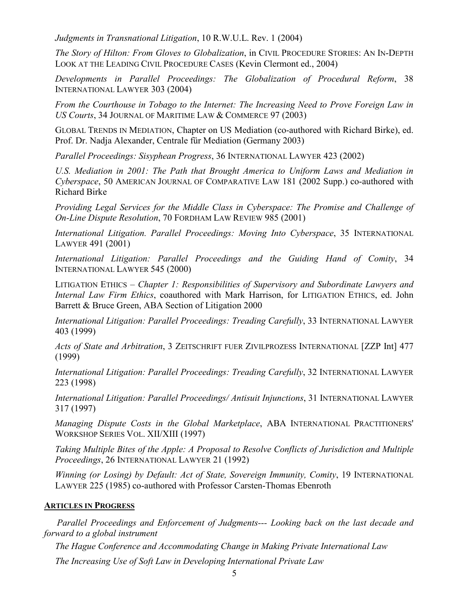*Judgments in Transnational Litigation*, 10 R.W.U.L. Rev. 1 (2004)

*The Story of Hilton: From Gloves to Globalization*, in CIVIL PROCEDURE STORIES: AN IN-DEPTH LOOK AT THE LEADING CIVIL PROCEDURE CASES (Kevin Clermont ed., 2004)

*Developments in Parallel Proceedings: The Globalization of Procedural Reform*, 38 INTERNATIONAL LAWYER 303 (2004)

*From the Courthouse in Tobago to the Internet: The Increasing Need to Prove Foreign Law in US Courts*, 34 JOURNAL OF MARITIME LAW & COMMERCE 97 (2003)

GLOBAL TRENDS IN MEDIATION, Chapter on US Mediation (co-authored with Richard Birke), ed. Prof. Dr. Nadja Alexander, Centrale für Mediation (Germany 2003)

*Parallel Proceedings: Sisyphean Progress*, 36 INTERNATIONAL LAWYER 423 (2002)

U.S. Mediation in 2001: The Path that Brought America to Uniform Laws and Mediation in *Cyberspace*, 50 AMERICAN JOURNAL OF COMPARATIVE LAW 181 (2002 Supp.) co-authored with Richard Birke

*Providing Legal Services for the Middle Class in Cyberspace: The Promise and Challenge of On-Line Dispute Resolution*, 70 FORDHAM LAW REVIEW 985 (2001)

*International Litigation. Parallel Proceedings: Moving Into Cyberspace*, 35 INTERNATIONAL LAWYER 491 (2001)

*International Litigation: Parallel Proceedings and the Guiding Hand of Comity*, 34 INTERNATIONAL LAWYER 545 (2000)

LITIGATION ETHICS – *Chapter 1: Responsibilities of Supervisory and Subordinate Lawyers and Internal Law Firm Ethics*, coauthored with Mark Harrison, for LITIGATION ETHICS, ed. John Barrett & Bruce Green, ABA Section of Litigation 2000

*International Litigation: Parallel Proceedings: Treading Carefully*, 33 INTERNATIONAL LAWYER 403 (1999)

*Acts of State and Arbitration*, 3 ZEITSCHRIFT FUER ZIVILPROZESS INTERNATIONAL [ZZP Int] 477 (1999)

*International Litigation: Parallel Proceedings: Treading Carefully*, 32 INTERNATIONAL LAWYER 223 (1998)

*International Litigation: Parallel Proceedings/ Antisuit Injunctions*, 31 INTERNATIONAL LAWYER 317 (1997)

*Managing Dispute Costs in the Global Marketplace*, ABA INTERNATIONAL PRACTITIONERS' WORKSHOP SERIES VOL. XII/XIII (1997)

*Taking Multiple Bites of the Apple: A Proposal to Resolve Conflicts of Jurisdiction and Multiple Proceedings*, 26 INTERNATIONAL LAWYER 21 (1992)

*Winning (or Losing) by Default: Act of State, Sovereign Immunity, Comity*, 19 INTERNATIONAL LAWYER 225 (1985) co-authored with Professor Carsten-Thomas Ebenroth

### **ARTICLES IN PROGRESS**

 *Parallel Proceedings and Enforcement of Judgments--- Looking back on the last decade and forward to a global instrument*

*The Hague Conference and Accommodating Change in Making Private International Law*

*The Increasing Use of Soft Law in Developing International Private Law*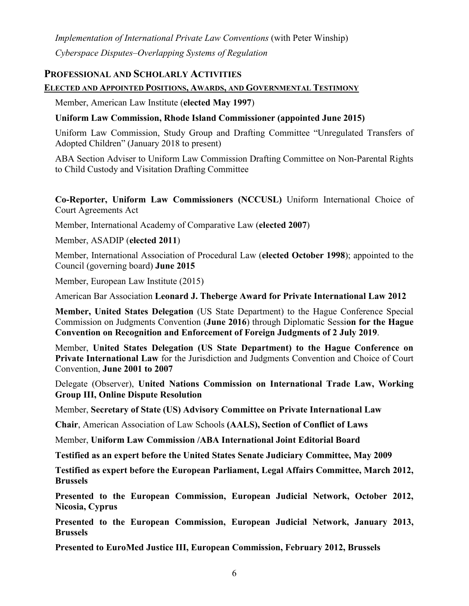*Implementation of International Private Law Conventions* (with Peter Winship) *Cyberspace Disputes–Overlapping Systems of Regulation*

## **PROFESSIONAL AND SCHOLARLY ACTIVITIES**

### **ELECTED AND APPOINTED POSITIONS, AWARDS, AND GOVERNMENTAL TESTIMONY**

Member, American Law Institute (**elected May 1997**)

## **Uniform Law Commission, Rhode Island Commissioner (appointed June 2015)**

Uniform Law Commission, Study Group and Drafting Committee "Unregulated Transfers of Adopted Children" (January 2018 to present)

ABA Section Adviser to Uniform Law Commission Drafting Committee on Non-Parental Rights to Child Custody and Visitation Drafting Committee

**Co-Reporter, Uniform Law Commissioners (NCCUSL)** Uniform International Choice of Court Agreements Act

Member, International Academy of Comparative Law (**elected 2007**)

### Member, ASADIP (**elected 2011**)

Member, International Association of Procedural Law (**elected October 1998**); appointed to the Council (governing board) **June 2015**

Member, European Law Institute (2015)

American Bar Association **Leonard J. Theberge Award for Private International Law 2012**

**Member, United States Delegation** (US State Department) to the Hague Conference Special Commission on Judgments Convention (**June 2016**) through Diplomatic Sessi**on for the Hague Convention on Recognition and Enforcement of Foreign Judgments of 2 July 2019**.

Member, **United States Delegation (US State Department) to the Hague Conference on Private International Law** for the Jurisdiction and Judgments Convention and Choice of Court Convention, **June 2001 to 2007**

Delegate (Observer), **United Nations Commission on International Trade Law, Working Group III, Online Dispute Resolution**

Member, **Secretary of State (US) Advisory Committee on Private International Law**

**Chair**, American Association of Law Schools **(AALS), Section of Conflict of Laws**

Member, **Uniform Law Commission /ABA International Joint Editorial Board**

**Testified as an expert before the United States Senate Judiciary Committee, May 2009**

**Testified as expert before the European Parliament, Legal Affairs Committee, March 2012, Brussels**

**Presented to the European Commission, European Judicial Network, October 2012, Nicosia, Cyprus**

**Presented to the European Commission, European Judicial Network, January 2013, Brussels**

**Presented to EuroMed Justice III, European Commission, February 2012, Brussels**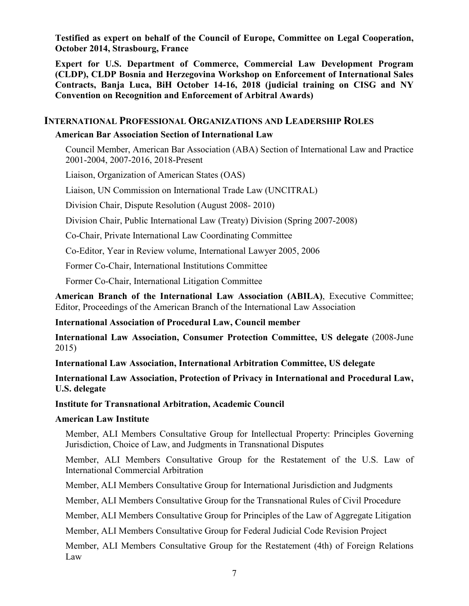**Testified as expert on behalf of the Council of Europe, Committee on Legal Cooperation, October 2014, Strasbourg, France**

**Expert for U.S. Department of Commerce, Commercial Law Development Program (CLDP), CLDP Bosnia and Herzegovina Workshop on Enforcement of International Sales Contracts, Banja Luca, BiH October 14-16, 2018 (judicial training on CISG and NY Convention on Recognition and Enforcement of Arbitral Awards)**

## **INTERNATIONAL PROFESSIONAL ORGANIZATIONS AND LEADERSHIP ROLES**

#### **American Bar Association Section of International Law**

Council Member, American Bar Association (ABA) Section of International Law and Practice 2001-2004, 2007-2016, 2018-Present

Liaison, Organization of American States (OAS)

Liaison, UN Commission on International Trade Law (UNCITRAL)

Division Chair, Dispute Resolution (August 2008- 2010)

Division Chair, Public International Law (Treaty) Division (Spring 2007-2008)

Co-Chair, Private International Law Coordinating Committee

Co-Editor, Year in Review volume, International Lawyer 2005, 2006

Former Co-Chair, International Institutions Committee

Former Co-Chair, International Litigation Committee

**American Branch of the International Law Association (ABILA)**, Executive Committee; Editor, Proceedings of the American Branch of the International Law Association

#### **International Association of Procedural Law, Council member**

**International Law Association, Consumer Protection Committee, US delegate** (2008-June 2015)

**International Law Association, International Arbitration Committee, US delegate**

**International Law Association, Protection of Privacy in International and Procedural Law, U.S. delegate**

**Institute for Transnational Arbitration, Academic Council**

#### **American Law Institute**

Member, ALI Members Consultative Group for Intellectual Property: Principles Governing Jurisdiction, Choice of Law, and Judgments in Transnational Disputes

Member, ALI Members Consultative Group for the Restatement of the U.S. Law of International Commercial Arbitration

Member, ALI Members Consultative Group for International Jurisdiction and Judgments

Member, ALI Members Consultative Group for the Transnational Rules of Civil Procedure

Member, ALI Members Consultative Group for Principles of the Law of Aggregate Litigation

Member, ALI Members Consultative Group for Federal Judicial Code Revision Project

Member, ALI Members Consultative Group for the Restatement (4th) of Foreign Relations Law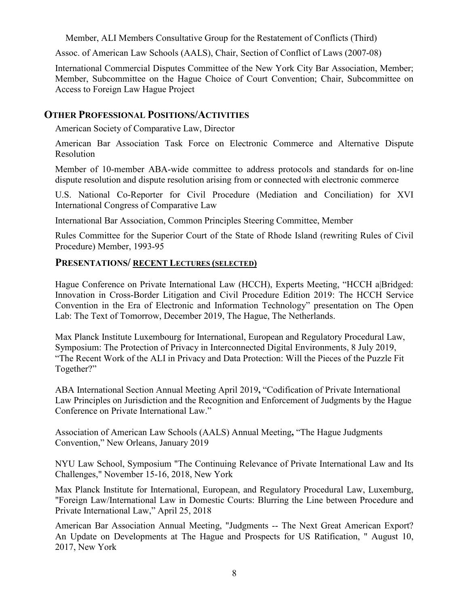Member, ALI Members Consultative Group for the Restatement of Conflicts (Third)

Assoc. of American Law Schools (AALS), Chair, Section of Conflict of Laws (2007-08)

International Commercial Disputes Committee of the New York City Bar Association, Member; Member, Subcommittee on the Hague Choice of Court Convention; Chair, Subcommittee on Access to Foreign Law Hague Project

## **OTHER PROFESSIONAL POSITIONS/ACTIVITIES**

American Society of Comparative Law, Director

American Bar Association Task Force on Electronic Commerce and Alternative Dispute Resolution

Member of 10-member ABA-wide committee to address protocols and standards for on-line dispute resolution and dispute resolution arising from or connected with electronic commerce

U.S. National Co-Reporter for Civil Procedure (Mediation and Conciliation) for XVI International Congress of Comparative Law

International Bar Association, Common Principles Steering Committee, Member

Rules Committee for the Superior Court of the State of Rhode Island (rewriting Rules of Civil Procedure) Member, 1993-95

## **PRESENTATIONS/ RECENT LECTURES (SELECTED)**

Hague Conference on Private International Law (HCCH), Experts Meeting, "HCCH a|Bridged: Innovation in Cross-Border Litigation and Civil Procedure Edition 2019: The HCCH Service Convention in the Era of Electronic and Information Technology" presentation on The Open Lab: The Text of Tomorrow, December 2019, The Hague, The Netherlands.

Max Planck Institute Luxembourg for International, European and Regulatory Procedural Law, Symposium: The Protection of Privacy in Interconnected Digital Environments, 8 July 2019, "The Recent Work of the ALI in Privacy and Data Protection: Will the Pieces of the Puzzle Fit Together?"

ABA International Section Annual Meeting April 2019**,** "Codification of Private International Law Principles on Jurisdiction and the Recognition and Enforcement of Judgments by the Hague Conference on Private International Law."

Association of American Law Schools (AALS) Annual Meeting**,** "The Hague Judgments Convention," New Orleans, January 2019

NYU Law School, Symposium "The Continuing Relevance of Private International Law and Its Challenges," November 15-16, 2018, New York

Max Planck Institute for International, European, and Regulatory Procedural Law, Luxemburg, "Foreign Law/International Law in Domestic Courts: Blurring the Line between Procedure and Private International Law," April 25, 2018

American Bar Association Annual Meeting, "Judgments -- The Next Great American Export? An Update on Developments at The Hague and Prospects for US Ratification, " August 10, 2017, New York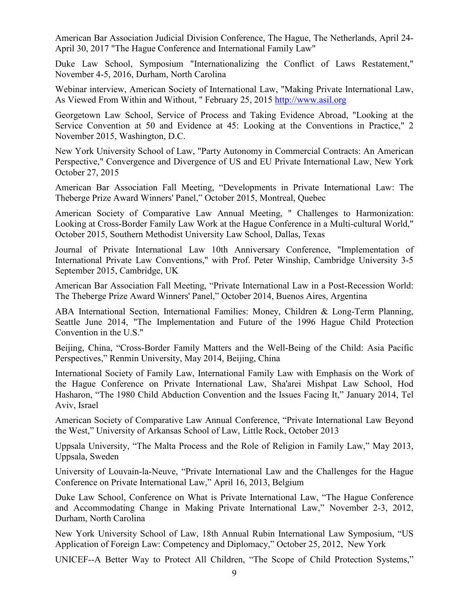American Bar Association Judicial Division Conference, The Hague, The Netherlands, April 24- April 30, 2017 "The Hague Conference and International Family Law"

Duke Law School, Symposium "Internationalizing the Conflict of Laws Restatement," November 4-5, 2016, Durham, North Carolina

Webinar interview, American Society of International Law, "Making Private International Law, As Viewed From Within and Without, " February 25, 2015 [http://www.asil.org](http://www.asil.org/)

Georgetown Law School, Service of Process and Taking Evidence Abroad, "Looking at the Service Convention at 50 and Evidence at 45: Looking at the Conventions in Practice," 2 November 2015, Washington, D.C.

New York University School of Law, "Party Autonomy in Commercial Contracts: An American Perspective," Convergence and Divergence of US and EU Private International Law, New York October 27, 2015

American Bar Association Fall Meeting, "Developments in Private International Law: The Theberge Prize Award Winners' Panel," October 2015, Montreal, Quebec

American Society of Comparative Law Annual Meeting, " Challenges to Harmonization: Looking at Cross-Border Family Law Work at the Hague Conference in a Multi-cultural World," October 2015, Southern Methodist University Law School, Dallas, Texas

Journal of Private International Law 10th Anniversary Conference, "Implementation of International Private Law Conventions," with Prof. Peter Winship, Cambridge University 3-5 September 2015, Cambridge, UK

American Bar Association Fall Meeting, "Private International Law in a Post-Recession World: The Theberge Prize Award Winners' Panel," October 2014, Buenos Aires, Argentina

ABA International Section, International Families: Money, Children & Long-Term Planning, Seattle June 2014, "The Implementation and Future of the 1996 Hague Child Protection Convention in the U.S."

Beijing, China, "Cross-Border Family Matters and the Well-Being of the Child: Asia Pacific Perspectives," Renmin University, May 2014, Beijing, China

International Society of Family Law, International Family Law with Emphasis on the Work of the Hague Conference on Private International Law, Sha'arei Mishpat Law School, Hod Hasharon, "The 1980 Child Abduction Convention and the Issues Facing It," January 2014, Tel Aviv, Israel

American Society of Comparative Law Annual Conference, "Private International Law Beyond the West," University of Arkansas School of Law, Little Rock, October 2013

Uppsala University, "The Malta Process and the Role of Religion in Family Law," May 2013, Uppsala, Sweden

University of Louvain-la-Neuve, "Private International Law and the Challenges for the Hague Conference on Private International Law," April 16, 2013, Belgium

Duke Law School, Conference on What is Private International Law, "The Hague Conference and Accommodating Change in Making Private International Law," November 2-3, 2012, Durham, North Carolina

New York University School of Law, 18th Annual Rubin International Law Symposium, "US Application of Foreign Law: Competency and Diplomacy," October 25, 2012, New York

UNICEF--A Better Way to Protect All Children, "The Scope of Child Protection Systems,"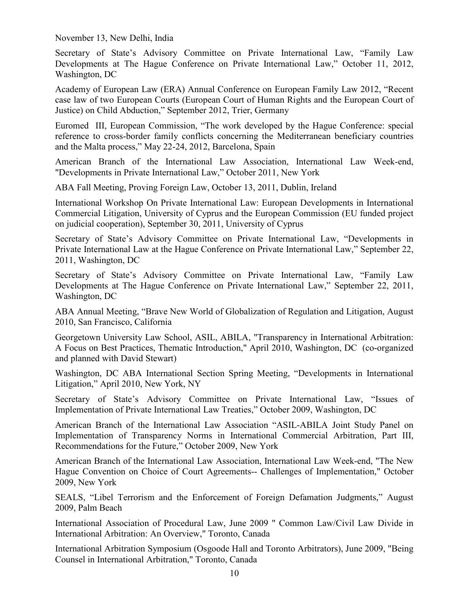November 13, New Delhi, India

Secretary of State's Advisory Committee on Private International Law, "Family Law Developments at The Hague Conference on Private International Law," October 11, 2012, Washington, DC

Academy of European Law (ERA) Annual Conference on European Family Law 2012, "Recent case law of two European Courts (European Court of Human Rights and the European Court of Justice) on Child Abduction," September 2012, Trier, Germany

Euromed III, European Commission, "The work developed by the Hague Conference: special reference to cross-border family conflicts concerning the Mediterranean beneficiary countries and the Malta process," May 22-24, 2012, Barcelona, Spain

American Branch of the International Law Association, International Law Week-end, "Developments in Private International Law," October 2011, New York

ABA Fall Meeting, Proving Foreign Law, October 13, 2011, Dublin, Ireland

International Workshop On Private International Law: European Developments in International Commercial Litigation, University of Cyprus and the European Commission (EU funded project on judicial cooperation), September 30, 2011, University of Cyprus

Secretary of State's Advisory Committee on Private International Law, "Developments in Private International Law at the Hague Conference on Private International Law," September 22, 2011, Washington, DC

Secretary of State's Advisory Committee on Private International Law, "Family Law Developments at The Hague Conference on Private International Law," September 22, 2011, Washington, DC

ABA Annual Meeting, "Brave New World of Globalization of Regulation and Litigation, August 2010, San Francisco, California

Georgetown University Law School, ASIL, ABILA, "Transparency in International Arbitration: A Focus on Best Practices, Thematic Introduction," April 2010, Washington, DC (co-organized and planned with David Stewart)

Washington, DC ABA International Section Spring Meeting, "Developments in International Litigation," April 2010, New York, NY

Secretary of State's Advisory Committee on Private International Law, "Issues of Implementation of Private International Law Treaties," October 2009, Washington, DC

American Branch of the International Law Association "ASIL-ABILA Joint Study Panel on Implementation of Transparency Norms in International Commercial Arbitration, Part III, Recommendations for the Future," October 2009, New York

American Branch of the International Law Association, International Law Week-end, "The New Hague Convention on Choice of Court Agreements-- Challenges of Implementation," October 2009, New York

SEALS, "Libel Terrorism and the Enforcement of Foreign Defamation Judgments," August 2009, Palm Beach

International Association of Procedural Law, June 2009 " Common Law/Civil Law Divide in International Arbitration: An Overview," Toronto, Canada

International Arbitration Symposium (Osgoode Hall and Toronto Arbitrators), June 2009, "Being Counsel in International Arbitration," Toronto, Canada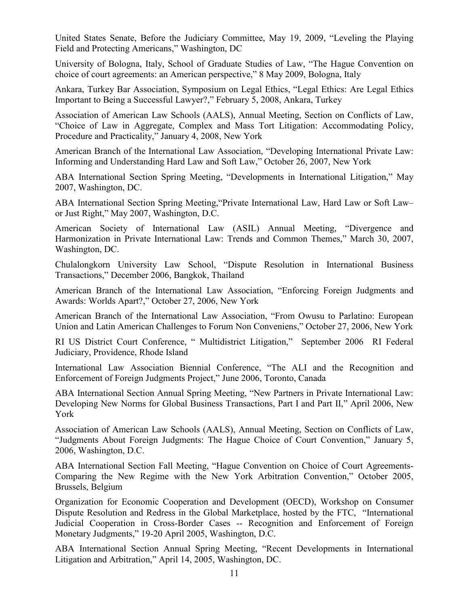United States Senate, Before the Judiciary Committee, May 19, 2009, "Leveling the Playing Field and Protecting Americans," Washington, DC

University of Bologna, Italy, School of Graduate Studies of Law, "The Hague Convention on choice of court agreements: an American perspective," 8 May 2009, Bologna, Italy

Ankara, Turkey Bar Association, Symposium on Legal Ethics, "Legal Ethics: Are Legal Ethics Important to Being a Successful Lawyer?," February 5, 2008, Ankara, Turkey

Association of American Law Schools (AALS), Annual Meeting, Section on Conflicts of Law, "Choice of Law in Aggregate, Complex and Mass Tort Litigation: Accommodating Policy, Procedure and Practicality," January 4, 2008, New York

American Branch of the International Law Association, "Developing International Private Law: Informing and Understanding Hard Law and Soft Law," October 26, 2007, New York

ABA International Section Spring Meeting, "Developments in International Litigation," May 2007, Washington, DC.

ABA International Section Spring Meeting,"Private International Law, Hard Law or Soft Law– or Just Right," May 2007, Washington, D.C.

American Society of International Law (ASIL) Annual Meeting, "Divergence and Harmonization in Private International Law: Trends and Common Themes," March 30, 2007, Washington, DC.

Chulalongkorn University Law School, "Dispute Resolution in International Business Transactions," December 2006, Bangkok, Thailand

American Branch of the International Law Association, "Enforcing Foreign Judgments and Awards: Worlds Apart?," October 27, 2006, New York

American Branch of the International Law Association, "From Owusu to Parlatino: European Union and Latin American Challenges to Forum Non Conveniens," October 27, 2006, New York

RI US District Court Conference, " Multidistrict Litigation," September 2006 RI Federal Judiciary, Providence, Rhode Island

International Law Association Biennial Conference, "The ALI and the Recognition and Enforcement of Foreign Judgments Project," June 2006, Toronto, Canada

ABA International Section Annual Spring Meeting, "New Partners in Private International Law: Developing New Norms for Global Business Transactions, Part I and Part II," April 2006, New York

Association of American Law Schools (AALS), Annual Meeting, Section on Conflicts of Law, "Judgments About Foreign Judgments: The Hague Choice of Court Convention," January 5, 2006, Washington, D.C.

ABA International Section Fall Meeting, "Hague Convention on Choice of Court Agreements-Comparing the New Regime with the New York Arbitration Convention," October 2005, Brussels, Belgium

Organization for Economic Cooperation and Development (OECD), Workshop on Consumer Dispute Resolution and Redress in the Global Marketplace, hosted by the FTC, "International Judicial Cooperation in Cross-Border Cases -- Recognition and Enforcement of Foreign Monetary Judgments," 19-20 April 2005, Washington, D.C.

ABA International Section Annual Spring Meeting, "Recent Developments in International Litigation and Arbitration," April 14, 2005, Washington, DC.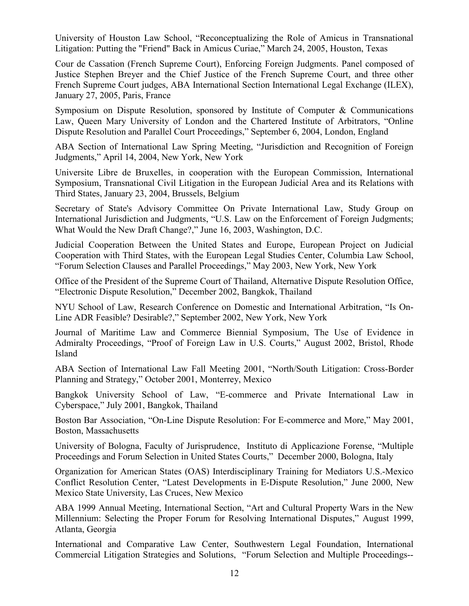University of Houston Law School, "Reconceptualizing the Role of Amicus in Transnational Litigation: Putting the "Friend" Back in Amicus Curiae," March 24, 2005, Houston, Texas

Cour de Cassation (French Supreme Court), Enforcing Foreign Judgments. Panel composed of Justice Stephen Breyer and the Chief Justice of the French Supreme Court, and three other French Supreme Court judges, ABA International Section International Legal Exchange (ILEX), January 27, 2005, Paris, France

Symposium on Dispute Resolution, sponsored by Institute of Computer & Communications Law, Queen Mary University of London and the Chartered Institute of Arbitrators, "Online Dispute Resolution and Parallel Court Proceedings," September 6, 2004, London, England

ABA Section of International Law Spring Meeting, "Jurisdiction and Recognition of Foreign Judgments," April 14, 2004, New York, New York

Universite Libre de Bruxelles, in cooperation with the European Commission, International Symposium, Transnational Civil Litigation in the European Judicial Area and its Relations with Third States, January 23, 2004, Brussels, Belgium

Secretary of State's Advisory Committee On Private International Law, Study Group on International Jurisdiction and Judgments, "U.S. Law on the Enforcement of Foreign Judgments; What Would the New Draft Change?," June 16, 2003, Washington, D.C.

Judicial Cooperation Between the United States and Europe, European Project on Judicial Cooperation with Third States, with the European Legal Studies Center, Columbia Law School, "Forum Selection Clauses and Parallel Proceedings," May 2003, New York, New York

Office of the President of the Supreme Court of Thailand, Alternative Dispute Resolution Office, "Electronic Dispute Resolution," December 2002, Bangkok, Thailand

NYU School of Law, Research Conference on Domestic and International Arbitration, "Is On-Line ADR Feasible? Desirable?," September 2002, New York, New York

Journal of Maritime Law and Commerce Biennial Symposium, The Use of Evidence in Admiralty Proceedings, "Proof of Foreign Law in U.S. Courts," August 2002, Bristol, Rhode Island

ABA Section of International Law Fall Meeting 2001, "North/South Litigation: Cross-Border Planning and Strategy," October 2001, Monterrey, Mexico

Bangkok University School of Law, "E-commerce and Private International Law in Cyberspace," July 2001, Bangkok, Thailand

Boston Bar Association, "On-Line Dispute Resolution: For E-commerce and More," May 2001, Boston, Massachusetts

University of Bologna, Faculty of Jurisprudence, Instituto di Applicazione Forense, "Multiple Proceedings and Forum Selection in United States Courts," December 2000, Bologna, Italy

Organization for American States (OAS) Interdisciplinary Training for Mediators U.S.-Mexico Conflict Resolution Center, "Latest Developments in E-Dispute Resolution," June 2000, New Mexico State University, Las Cruces, New Mexico

ABA 1999 Annual Meeting, International Section, "Art and Cultural Property Wars in the New Millennium: Selecting the Proper Forum for Resolving International Disputes," August 1999, Atlanta, Georgia

International and Comparative Law Center, Southwestern Legal Foundation, International Commercial Litigation Strategies and Solutions, "Forum Selection and Multiple Proceedings--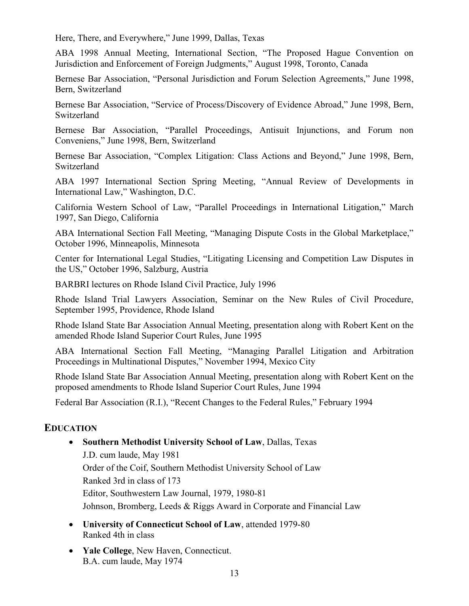Here, There, and Everywhere," June 1999, Dallas, Texas

ABA 1998 Annual Meeting, International Section, "The Proposed Hague Convention on Jurisdiction and Enforcement of Foreign Judgments," August 1998, Toronto, Canada

Bernese Bar Association, "Personal Jurisdiction and Forum Selection Agreements," June 1998, Bern, Switzerland

Bernese Bar Association, "Service of Process/Discovery of Evidence Abroad," June 1998, Bern, Switzerland

Bernese Bar Association, "Parallel Proceedings, Antisuit Injunctions, and Forum non Conveniens," June 1998, Bern, Switzerland

Bernese Bar Association, "Complex Litigation: Class Actions and Beyond," June 1998, Bern, Switzerland

ABA 1997 International Section Spring Meeting, "Annual Review of Developments in International Law," Washington, D.C.

California Western School of Law, "Parallel Proceedings in International Litigation," March 1997, San Diego, California

ABA International Section Fall Meeting, "Managing Dispute Costs in the Global Marketplace," October 1996, Minneapolis, Minnesota

Center for International Legal Studies, "Litigating Licensing and Competition Law Disputes in the US," October 1996, Salzburg, Austria

BARBRI lectures on Rhode Island Civil Practice, July 1996

Rhode Island Trial Lawyers Association, Seminar on the New Rules of Civil Procedure, September 1995, Providence, Rhode Island

Rhode Island State Bar Association Annual Meeting, presentation along with Robert Kent on the amended Rhode Island Superior Court Rules, June 1995

ABA International Section Fall Meeting, "Managing Parallel Litigation and Arbitration Proceedings in Multinational Disputes," November 1994, Mexico City

Rhode Island State Bar Association Annual Meeting, presentation along with Robert Kent on the proposed amendments to Rhode Island Superior Court Rules, June 1994

Federal Bar Association (R.I.), "Recent Changes to the Federal Rules," February 1994

## **EDUCATION**

• **Southern Methodist University School of Law**, Dallas, Texas

J.D. cum laude, May 1981 Order of the Coif, Southern Methodist University School of Law Ranked 3rd in class of 173 Editor, Southwestern Law Journal, 1979, 1980-81 Johnson, Bromberg, Leeds & Riggs Award in Corporate and Financial Law

- **University of Connecticut School of Law**, attended 1979-80 Ranked 4th in class
- **Yale College**, New Haven, Connecticut. B.A. cum laude, May 1974